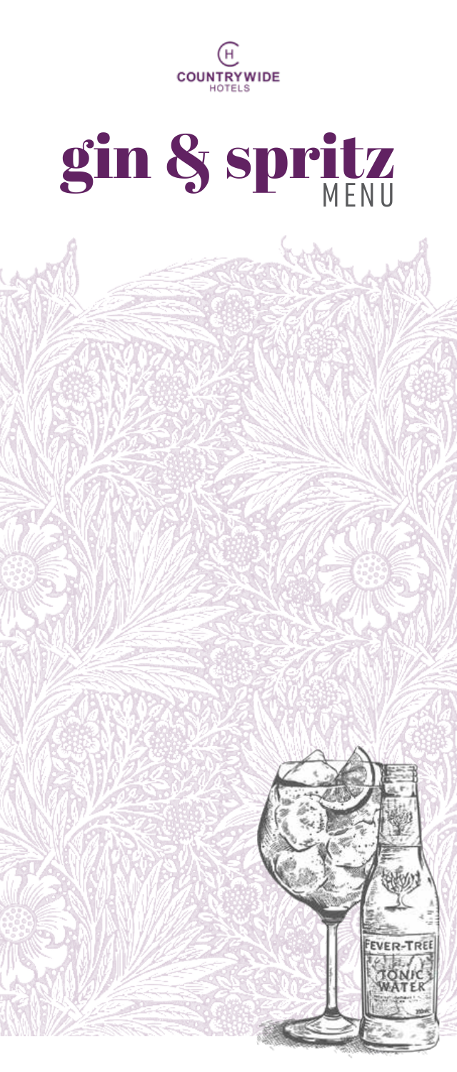

# gin & spritz

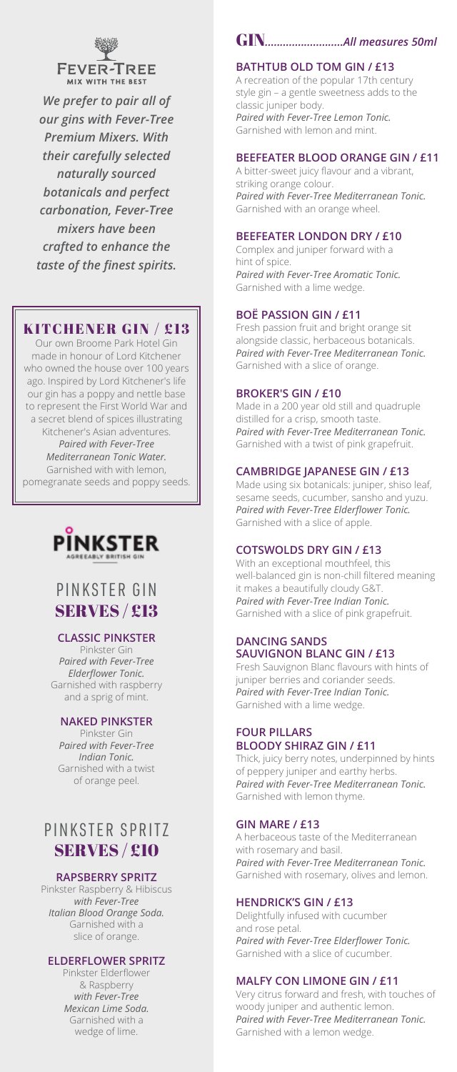

*We prefer to pair all of our gins with Fever-Tree Premium Mixers. With their carefully selected naturally sourced botanicals and perfect carbonation, Fever-Tree mixers have been crafted to enhance the taste of the finest spirits.*

## KITCHENER GIN / £13

Our own Broome Park Hotel Gin made in honour of Lord Kitchener who owned the house over 100 years ago. Inspired by Lord Kitchener's life our gin has a poppy and nettle base to represent the First World War and a secret blend of spices illustrating Kitchener's Asian adventures. *Paired with Fever-Tree Mediterranean Tonic Water.*

Garnished with with lemon, pomegranate seeds and poppy seeds.



# PINKSTER GIN SERVES / £13

### **CLASSIC PINKSTER**

Pinkster Gin *Paired with Fever-Tree Elderflower Tonic.* Garnished with raspberry and a sprig of mint.

### **NAKED PINKSTER**

Pinkster Gin *Paired with Fever-Tree Indian Tonic.*  Garnished with a twist of orange peel.

# PINKSTER SPRITZ SERVES / £10

### **RAPSBERRY SPRITZ**

Pinkster Raspberry & Hibiscus *with Fever-Tree Italian Blood Orange Soda.* Garnished with a slice of orange.

### **ELDERFLOWER SPRITZ**

Pinkster Elderflower & Raspberry *with Fever-Tree Mexican Lime Soda.* Garnished with a wedge of lime.

# GIN*..........................All measures 50ml*

### **BATHTUB OLD TOM GIN / £13**

A recreation of the popular 17th century style gin – a gentle sweetness adds to the classic juniper body. *Paired with Fever-Tree Lemon Tonic.* Garnished with lemon and mint.

### **BEEFEATER BLOOD ORANGE GIN / £11**

A bitter-sweet juicy flavour and a vibrant, striking orange colour. *Paired with Fever-Tree Mediterranean Tonic.* Garnished with an orange wheel.

### **BEEFEATER LONDON DRY / £10**

Complex and juniper forward with a hint of spice. *Paired with Fever-Tree Aromatic Tonic.* Garnished with a lime wedge.

### **BOË PASSION GIN / £11**

Fresh passion fruit and bright orange sit alongside classic, herbaceous botanicals. *Paired with Fever-Tree Mediterranean Tonic.* Garnished with a slice of orange.

### **BROKER'S GIN / £10**

Made in a 200 year old still and quadruple distilled for a crisp, smooth taste. *Paired with Fever-Tree Mediterranean Tonic.* Garnished with a twist of pink grapefruit.

### **CAMBRIDGE JAPANESE GIN / £13**

Made using six botanicals: juniper, shiso leaf, sesame seeds, cucumber, sansho and yuzu. *Paired with Fever-Tree Elderflower Tonic.* Garnished with a slice of apple.

### **COTSWOLDS DRY GIN / £13**

With an exceptional mouthfeel, this well-balanced gin is non-chill filtered meaning it makes a beautifully cloudy G&T. *Paired with Fever-Tree Indian Tonic.* Garnished with a slice of pink grapefruit.

### **DANCING SANDS SAUVIGNON BLANC GIN / £13**

Fresh Sauvignon Blanc flavours with hints of juniper berries and coriander seeds. *Paired with Fever-Tree Indian Tonic.* Garnished with a lime wedge.

### **FOUR PILLARS BLOODY SHIRAZ GIN / £11**

Thick, juicy berry notes, underpinned by hints of peppery juniper and earthy herbs. *Paired with Fever-Tree Mediterranean Tonic.* Garnished with lemon thyme.

### **GIN MARE / £13**

A herbaceous taste of the Mediterranean with rosemary and basil. *Paired with Fever-Tree Mediterranean Tonic.* Garnished with rosemary, olives and lemon.

### **HENDRICK'S GIN / £13**

Delightfully infused with cucumber and rose petal. *Paired with Fever-Tree Elderflower Tonic.* Garnished with a slice of cucumber.

### **MALFY CON LIMONE GIN / £11**

Very citrus forward and fresh, with touches of woody juniper and authentic lemon. *Paired with Fever-Tree Mediterranean Tonic.* Garnished with a lemon wedge.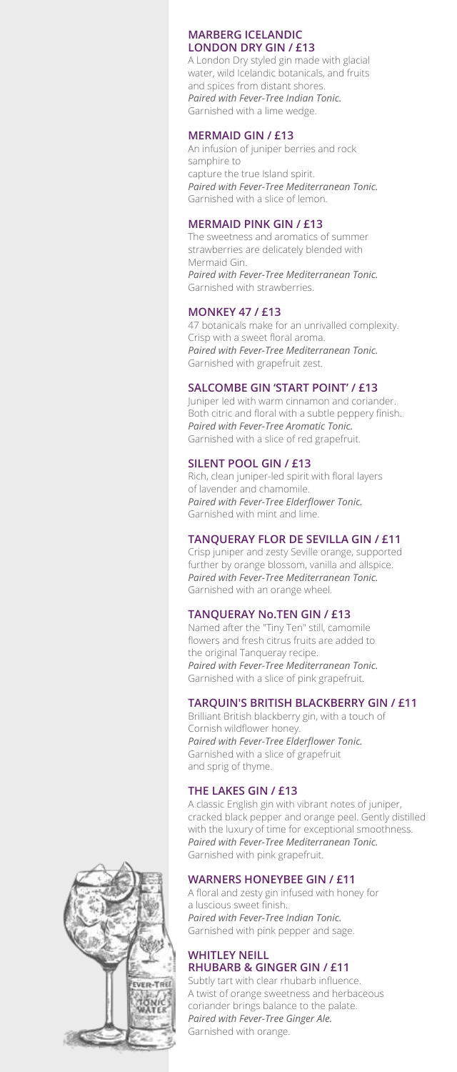### **MARBERG ICELANDIC LONDON DRY GIN / £13**

A London Dry styled gin made with glacial water, wild Icelandic botanicals, and fruits and spices from distant shores. *Paired with Fever-Tree Indian Tonic.* Garnished with a lime wedge.

### **MERMAID GIN / £13**

An infusion of juniper berries and rock samphire to capture the true Island spirit. *Paired with Fever-Tree Mediterranean Tonic.* Garnished with a slice of lemon.

### **MERMAID PINK GIN / £13**

The sweetness and aromatics of summer strawberries are delicately blended with Mermaid Gin. *Paired with Fever-Tree Mediterranean Tonic.* Garnished with strawberries.

### **MONKEY 47 / £13**

47 botanicals make for an unrivalled complexity. Crisp with a sweet floral aroma. *Paired with Fever-Tree Mediterranean Tonic.* Garnished with grapefruit zest.

### **SALCOMBE GIN 'START POINT' / £13**

Juniper led with warm cinnamon and coriander. Both citric and floral with a subtle peppery finish. *Paired with Fever-Tree Aromatic Tonic.* Garnished with a slice of red grapefruit.

### **SILENT POOL GIN / £13**

Rich, clean juniper-led spirit with floral layers of lavender and chamomile. *Paired with Fever-Tree Elderflower Tonic.* Garnished with mint and lime.

### **TANQUERAY FLOR DE SEVILLA GIN / £11**

Crisp juniper and zesty Seville orange, supported further by orange blossom, vanilla and allspice. *Paired with Fever-Tree Mediterranean Tonic.* Garnished with an orange wheel.

### **TANQUERAY No.TEN GIN / £13**

Named after the "Tiny Ten" still, camomile flowers and fresh citrus fruits are added to the original Tanqueray recipe. *Paired with Fever-Tree Mediterranean Tonic.* Garnished with a slice of pink grapefruit.

### **TARQUIN'S BRITISH BLACKBERRY GIN / £11**

Brilliant British blackberry gin, with a touch of Cornish wildflower honey. *Paired with Fever-Tree Elderflower Tonic.* Garnished with a slice of grapefruit and sprig of thyme.

### **THE LAKES GIN / £13**

A classic English gin with vibrant notes of juniper, cracked black pepper and orange peel. Gently distilled with the luxury of time for exceptional smoothness. *Paired with Fever-Tree Mediterranean Tonic.* Garnished with pink grapefruit.

### **WARNERS HONEYBEE GIN / £11**

A floral and zesty gin infused with honey for a luscious sweet finish. *Paired with Fever-Tree Indian Tonic.* Garnished with pink pepper and sage.

### **WHITLEY NEILL RHUBARB & GINGER GIN / £11**

Subtly tart with clear rhubarb influence. A twist of orange sweetness and herbaceous coriander brings balance to the palate. *Paired with Fever-Tree Ginger Ale.* Garnished with orange.